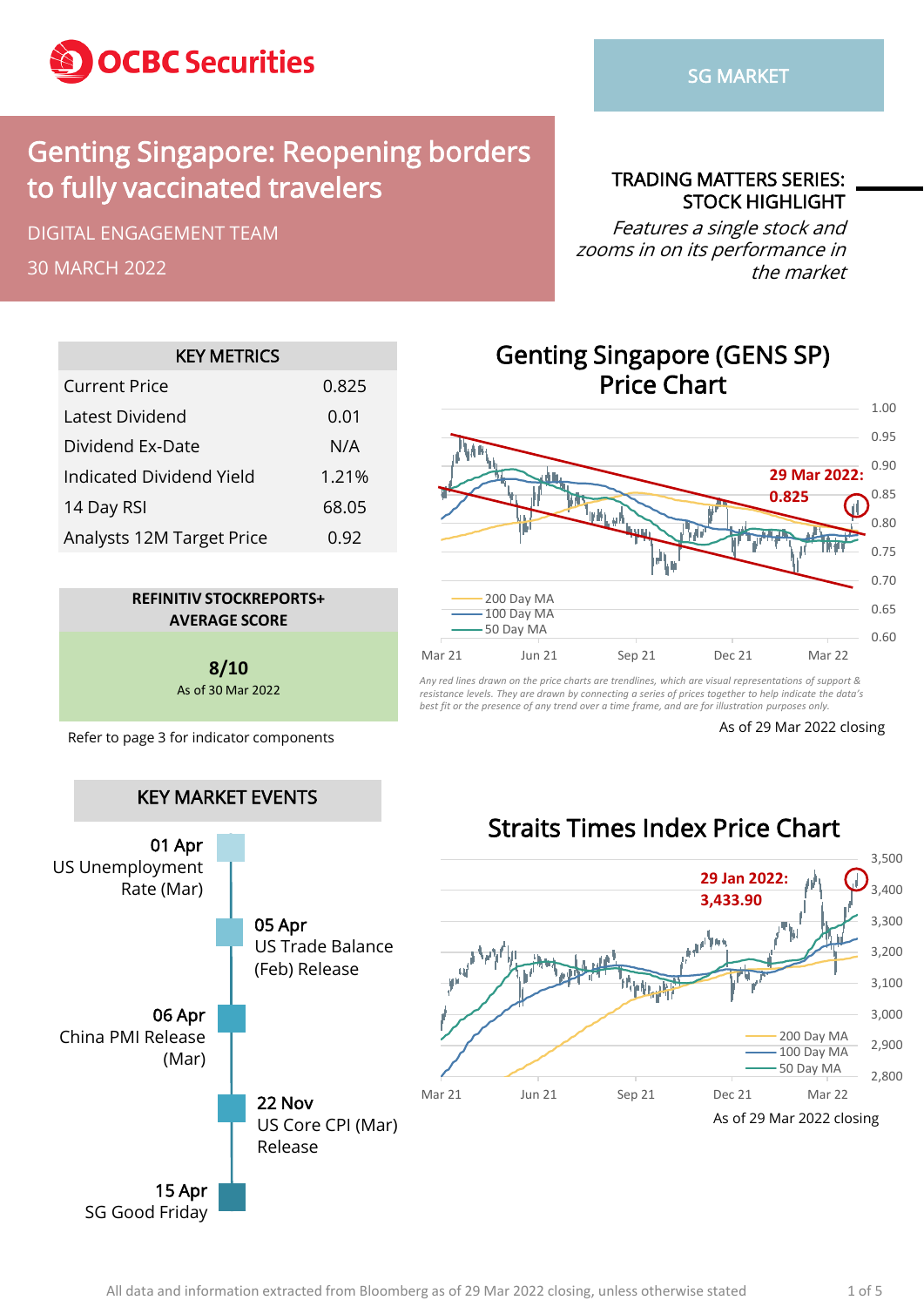

## Genting Singapore: Reopening borders to fully vaccinated travelers

DIGITAL ENGAGEMENT TEAM

30 MARCH 2022

TRADING MATTERS SERIES: STOCK HIGHLIGHT

Features a single stock and zooms in on its performance in the market

| <b>KEY METRICS</b>        |       |  |  |  |  |  |  |  |
|---------------------------|-------|--|--|--|--|--|--|--|
| Current Price             | 0.825 |  |  |  |  |  |  |  |
| Latest Dividend           | 0.01  |  |  |  |  |  |  |  |
| Dividend Ex-Date          | N/A   |  |  |  |  |  |  |  |
| Indicated Dividend Yield  | 1.21% |  |  |  |  |  |  |  |
| 14 Day RSI                | 68.05 |  |  |  |  |  |  |  |
| Analysts 12M Target Price | 0.92  |  |  |  |  |  |  |  |



**8/10** As of 30 Mar 2022

Refer to page 3 for indicator components As of 29 Mar 2022 closing Refer to page 3 for indicator components



Genting Singapore (GENS SP) Price Chart

*Any red lines drawn on the price charts are trendlines, which are visual representations of support & resistance levels. They are drawn by connecting a series of prices together to help indicate the data's best fit or the presence of any trend over a time frame, and are for illustration purposes only.*

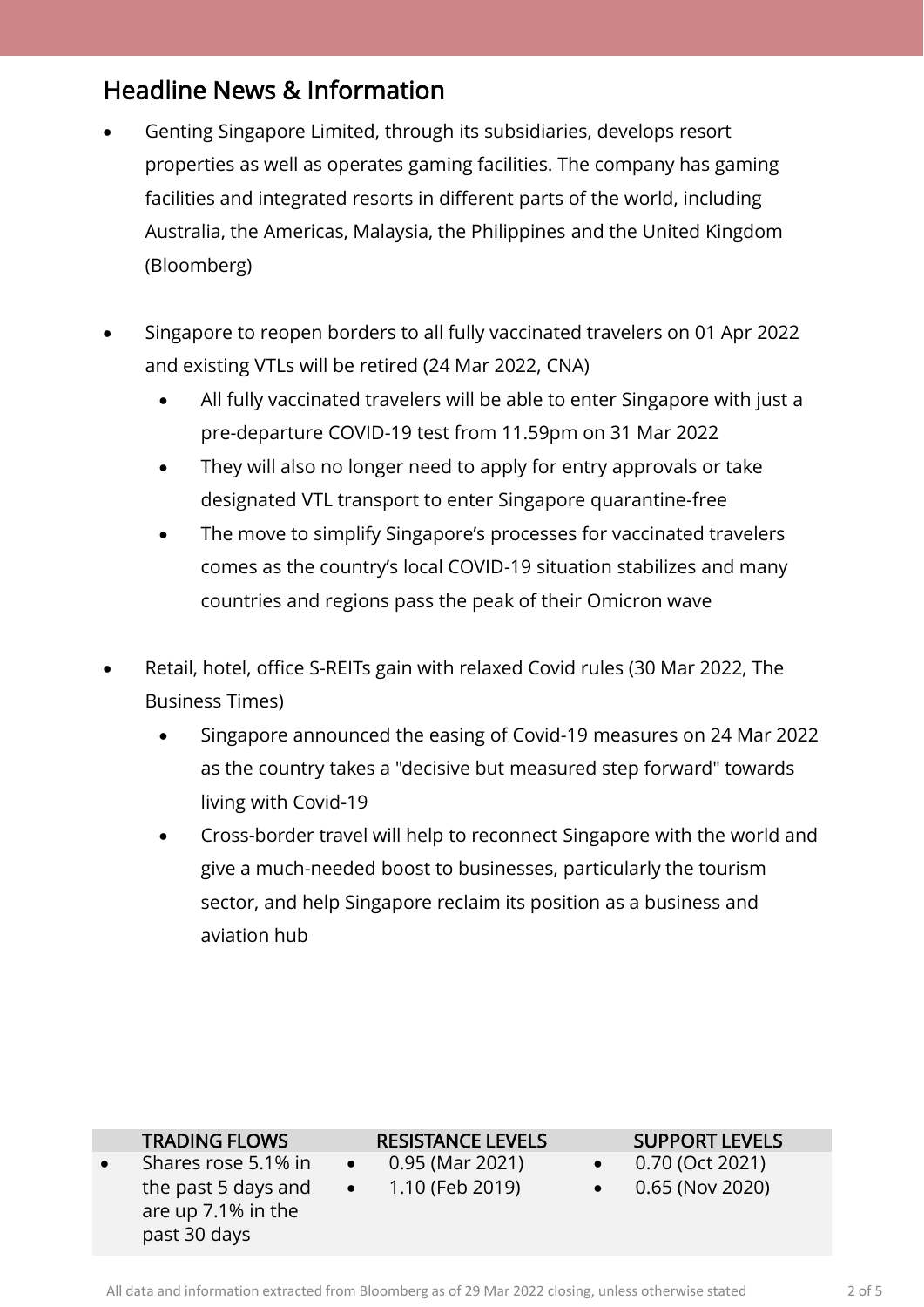### Headline News & Information

- Genting Singapore Limited, through its subsidiaries, develops resort properties as well as operates gaming facilities. The company has gaming facilities and integrated resorts in different parts of the world, including Australia, the Americas, Malaysia, the Philippines and the United Kingdom (Bloomberg)
- Singapore to reopen borders to all fully vaccinated travelers on 01 Apr 2022 and existing VTLs will be retired (24 Mar 2022, CNA)
	- All fully vaccinated travelers will be able to enter Singapore with just a pre-departure COVID-19 test from 11.59pm on 31 Mar 2022
	- They will also no longer need to apply for entry approvals or take designated VTL transport to enter Singapore quarantine-free
	- The move to simplify Singapore's processes for vaccinated travelers comes as the country's local COVID-19 situation stabilizes and many countries and regions pass the peak of their Omicron wave
- Retail, hotel, office S-REITs gain with relaxed Covid rules (30 Mar 2022, The Business Times)
	- Singapore announced the easing of Covid-19 measures on 24 Mar 2022 as the country takes a "decisive but measured step forward" towards living with Covid-19
	- Cross-border travel will help to reconnect Singapore with the world and give a much-needed boost to businesses, particularly the tourism sector, and help Singapore reclaim its position as a business and aviation hub

| <b>TRADING FLOWS</b> | <b>RESISTANCE LEVELS</b>  | <b>SUPPORT LEVELS</b>     |  |
|----------------------|---------------------------|---------------------------|--|
| Shares rose 5.1% in  | 0.95 (Mar 2021)           | 0.70 (Oct 2021)           |  |
| the past 5 days and  | $\bullet$ 1.10 (Feb 2019) | $\bullet$ 0.65 (Nov 2020) |  |
| are up 7.1% in the   |                           |                           |  |
| past 30 days         |                           |                           |  |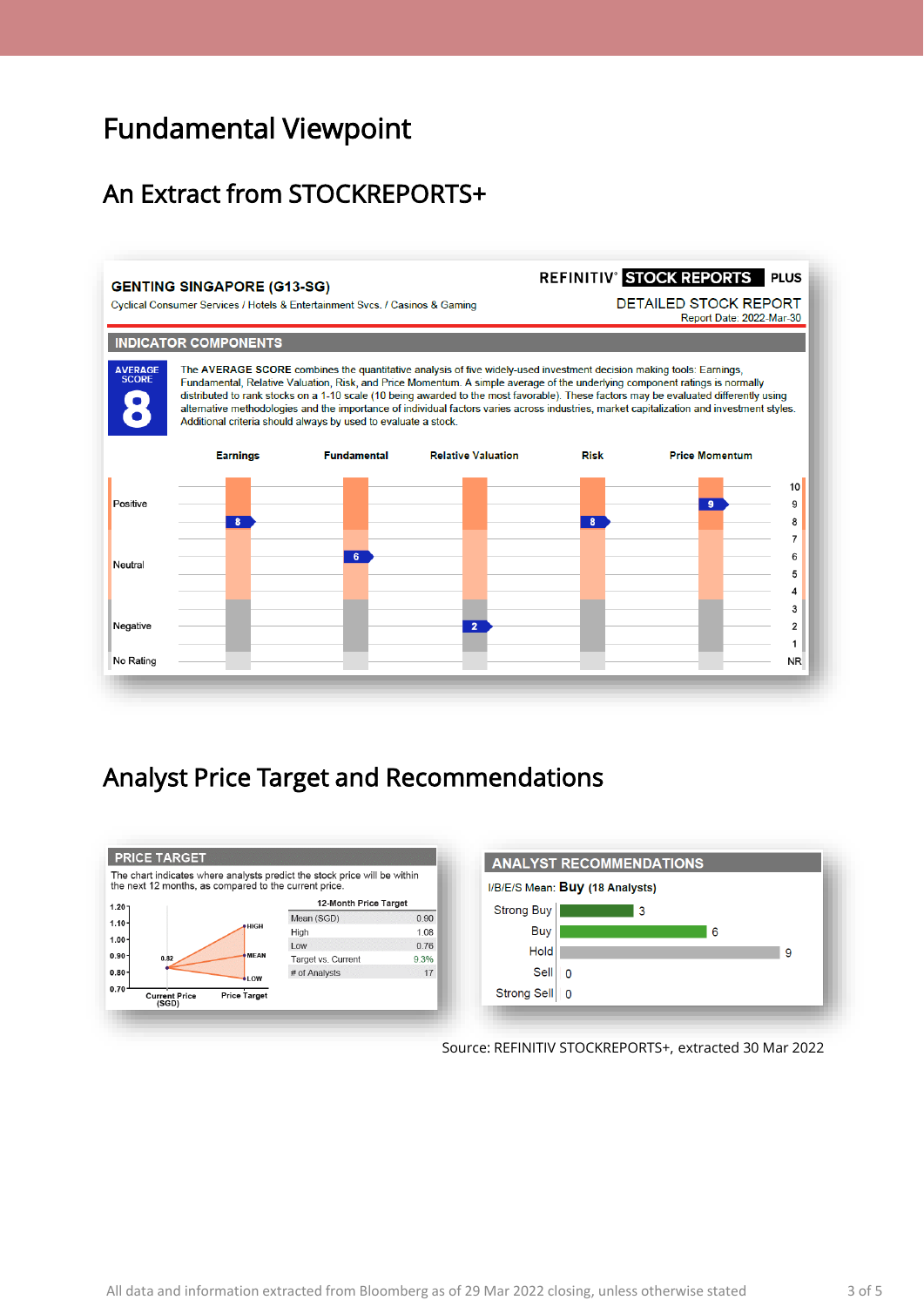## Fundamental Viewpoint

### An Extract from STOCKREPORTS+

#### **GENTING SINGAPORE (G13-SG)**

No Rating

REFINITIV<sup>®</sup> STOCK REPORTS PLUS **DETAILED STOCK REPORT** Cyclical Consumer Services / Hotels & Entertainment Svcs. / Casinos & Gaming Report Date: 2022-Mar-30 **INDICATOR COMPONENTS** The AVERAGE SCORE combines the quantitative analysis of five widely-used investment decision making tools: Earnings, **VERAGE** Fundamental, Relative Valuation, Risk, and Price Momentum. A simple average of the underlying component ratings is normally distributed to rank stocks on a 1-10 scale (10 being awarded to the most favorable). These factors may be evaluated differently using alternative methodologies and the importance of individual factors varies across industries, market capitalization and investment styles. Additional criteria should always by used to evaluate a stock. **Relative Valuation Dick Earnings Eundamental Price Momentum**  $10$ Positive  $\overline{\bullet}$ 9  $\overline{\cdot}$  $\overline{\mathbf{g}}$ 8  $\overline{7}$  $\overline{6}$ 6 Neutral  $5^{\circ}$  $\overline{A}$ 3  $\overline{2}$ Negative  $\overline{2}$ 

### Analyst Price Target and Recommendations



Source: REFINITIV STOCKREPORTS+, extracted 30 Mar 2022

 $\mathbf{1}$ N<sub>R</sub>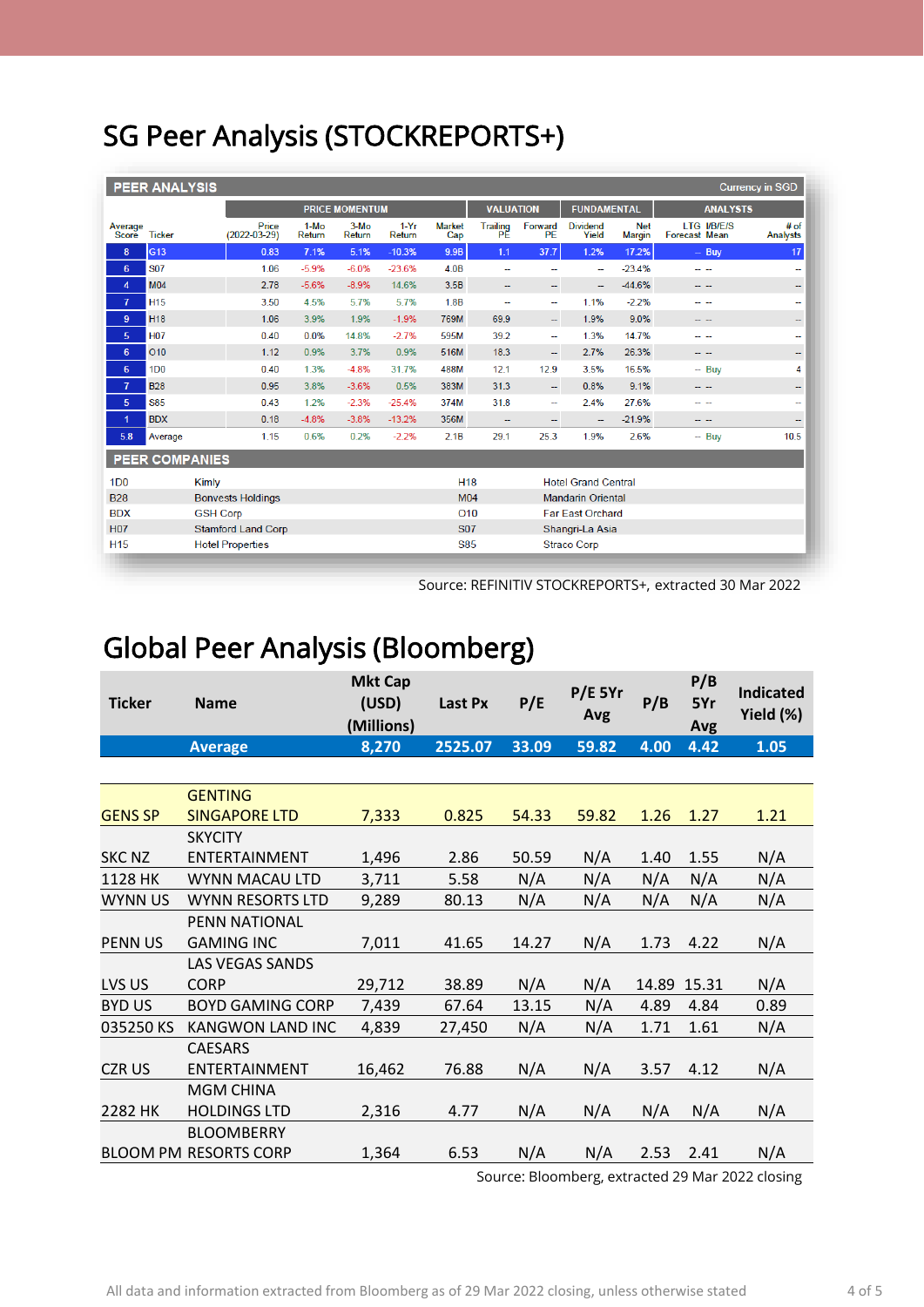# SG Peer Analysis (STOCKREPORTS+)

| <b>PEER ANALYSIS</b><br><b>Currency in SGD</b> |                             |                 |                                             |                  |                  |                  |                                        |                                  |                                          |                          |                             |                                            |                          |
|------------------------------------------------|-----------------------------|-----------------|---------------------------------------------|------------------|------------------|------------------|----------------------------------------|----------------------------------|------------------------------------------|--------------------------|-----------------------------|--------------------------------------------|--------------------------|
|                                                |                             |                 | <b>PRICE MOMENTUM</b>                       |                  |                  |                  | <b>VALUATION</b><br><b>FUNDAMENTAL</b> |                                  |                                          | <b>ANALYSTS</b>          |                             |                                            |                          |
| Average<br>Score                               | <b>Ticker</b>               |                 | Price<br>$(2022 - 03 - 29)$                 | $1-MO$<br>Return | $3-Mo$<br>Return | $1-Yr$<br>Return | <b>Market</b><br>Cap                   | <b>Trailing</b><br>РĔ            | Forward<br>PE                            | <b>Dividend</b><br>Yield | <b>Net</b><br><b>Margin</b> | <b>LTG I/B/E/S</b><br><b>Forecast Mean</b> | # of<br>Analysts         |
| 8                                              | G13                         |                 | 0.83                                        | 7.1%             | 5.1%             | $-10.3%$         | 9.9B                                   | 1.1                              | 37.7                                     | 1.2%                     | 17.2%                       | $-$ Buy                                    | 17                       |
| 6                                              | <b>S07</b>                  |                 | 1.06                                        | $-5.9%$          | $-6.0%$          | $-23.6%$         | 4.0B                                   | н.                               | н.                                       | н.                       | $-23.4%$                    | - -                                        | ۰.                       |
| 4                                              | <b>M04</b>                  |                 | 2.78                                        | $-5.6%$          | $-8.9%$          | 14.6%            | 3.5B                                   | $\overline{\phantom{a}}$         | $\overline{\phantom{m}}$                 | --                       | $-44.6%$                    | - -                                        | ÷                        |
| $\overline{7}$                                 | <b>H15</b>                  |                 | 3.50                                        | 4.5%             | 5.7%             | 5.7%             | 1.8B                                   | --                               | 44                                       | 1.1%                     | $-2.2%$                     | - -                                        | ۰.                       |
| 9                                              | <b>H18</b>                  |                 | 1.06                                        | 3.9%             | 1.9%             | $-1.9%$          | 769M                                   | 69.9                             | $\overline{\phantom{a}}$                 | 1.9%                     | 9.0%                        | -- --                                      | $\overline{\phantom{a}}$ |
| 5                                              | <b>H07</b>                  |                 | 0.40                                        | 0.0%             | 14.8%            | $-2.7%$          | 595M                                   | 39.2                             | $\overline{\phantom{a}}$                 | 1.3%                     | 14.7%                       | -- --                                      | --                       |
| 6                                              | O <sub>10</sub>             |                 | 1.12                                        | 0.9%             | 3.7%             | 0.9%             | 516M                                   | 18.3                             | $\overline{\phantom{m}}$                 | 2.7%                     | 26.3%                       | -- --                                      | --                       |
| 6                                              | 1 <sub>D</sub> <sub>0</sub> |                 | 0.40                                        | 1.3%             | $-4.8%$          | 31.7%            | 488M                                   | 12.1                             | 12.9                                     | 3.5%                     | 16.5%                       | $-$ Buv                                    | 4                        |
| $\overline{7}$                                 | <b>B28</b>                  |                 | 0.95                                        | 3.8%             | $-3.6%$          | 0.5%             | 383M                                   | 31.3                             | $\overline{\phantom{m}}$                 | 0.8%                     | 9.1%                        | - -                                        | ÷                        |
| 5                                              | <b>S85</b>                  |                 | 0.43                                        | 1.2%             | $-2.3%$          | $-25.4%$         | 374M                                   | 31.8                             | ÷.                                       | 2.4%                     | 27.6%                       |                                            | --                       |
| 1                                              | <b>BDX</b>                  |                 | 0.18                                        | $-4.8%$          | $-3.8%$          | $-13.2%$         | 356M                                   | $-$                              | $\overline{\phantom{a}}$                 | --                       | $-21.9%$                    | - -                                        | --                       |
| 5.8                                            | Average                     |                 | 1.15                                        | 0.6%             | 0.2%             | $-2.2%$          | 2.1B                                   | 29.1                             | 25.3                                     | 1.9%                     | 2.6%                        | $-$ Buy                                    | 10.5                     |
|                                                | <b>PEER COMPANIES</b>       |                 |                                             |                  |                  |                  |                                        |                                  |                                          |                          |                             |                                            |                          |
| 1 <sub>D</sub> <sub>0</sub>                    |                             | <b>Kimly</b>    |                                             |                  |                  |                  |                                        |                                  | <b>H18</b><br><b>Hotel Grand Central</b> |                          |                             |                                            |                          |
| <b>B28</b>                                     |                             |                 | M <sub>04</sub><br><b>Bonvests Holdings</b> |                  |                  |                  |                                        | <b>Mandarin Oriental</b>         |                                          |                          |                             |                                            |                          |
| <b>BDX</b>                                     |                             | <b>GSH Corp</b> |                                             |                  |                  |                  |                                        | O10<br><b>Far East Orchard</b>   |                                          |                          |                             |                                            |                          |
| <b>H07</b>                                     | <b>Stamford Land Corp</b>   |                 |                                             |                  |                  | <b>S07</b>       |                                        | Shangri-La Asia                  |                                          |                          |                             |                                            |                          |
| H <sub>15</sub>                                |                             |                 | <b>Hotel Properties</b>                     |                  |                  |                  |                                        | <b>S85</b><br><b>Straco Corp</b> |                                          |                          |                             |                                            |                          |

Source: REFINITIV STOCKREPORTS+, extracted 30 Mar 2022

# Global Peer Analysis (Bloomberg)

| <b>Ticker</b>  | <b>Name</b>                  | <b>Mkt Cap</b><br>(USD)<br>(Millions) | Last Px |       | $P/E$ 5Yr<br>Avg | P/B   | P/B<br>5Yr<br>Avg | <b>Indicated</b><br>Yield (%) |  |
|----------------|------------------------------|---------------------------------------|---------|-------|------------------|-------|-------------------|-------------------------------|--|
|                | <b>Average</b>               | 8,270                                 | 2525.07 | 33.09 | 59.82            | 4.00  | 4.42              | 1.05                          |  |
|                |                              |                                       |         |       |                  |       |                   |                               |  |
|                | <b>GENTING</b>               |                                       |         |       |                  |       |                   |                               |  |
| <b>GENS SP</b> | <b>SINGAPORE LTD</b>         | 7,333                                 | 0.825   | 54.33 | 59.82            | 1.26  | 1.27              | 1.21                          |  |
|                | <b>SKYCITY</b>               |                                       |         |       |                  |       |                   |                               |  |
| <b>SKC NZ</b>  | ENTERTAINMENT                | 1,496                                 | 2.86    | 50.59 | N/A              | 1.40  | 1.55              | N/A                           |  |
| 1128 HK        | WYNN MACAU LTD               | 3,711                                 | 5.58    | N/A   | N/A              | N/A   | N/A               | N/A                           |  |
| <b>WYNN US</b> | <b>WYNN RESORTS LTD</b>      | 9,289                                 | 80.13   | N/A   | N/A              | N/A   | N/A               | N/A                           |  |
|                | PENN NATIONAL                |                                       |         |       |                  |       |                   |                               |  |
| <b>PENN US</b> | <b>GAMING INC</b>            | 7,011                                 | 41.65   | 14.27 | N/A              | 1.73  | 4.22              | N/A                           |  |
|                | <b>LAS VEGAS SANDS</b>       |                                       |         |       |                  |       |                   |                               |  |
| LVS US         | <b>CORP</b>                  | 29,712                                | 38.89   | N/A   | N/A              | 14.89 | 15.31             | N/A                           |  |
| <b>BYD US</b>  | <b>BOYD GAMING CORP</b>      | 7,439                                 | 67.64   | 13.15 | N/A              | 4.89  | 4.84              | 0.89                          |  |
| 035250 KS      | <b>KANGWON LAND INC</b>      | 4,839                                 | 27,450  | N/A   | N/A              | 1.71  | 1.61              | N/A                           |  |
|                | <b>CAESARS</b>               |                                       |         |       |                  |       |                   |                               |  |
| <b>CZR US</b>  | ENTERTAINMENT                | 16,462                                | 76.88   | N/A   | N/A              | 3.57  | 4.12              | N/A                           |  |
|                | <b>MGM CHINA</b>             |                                       |         |       |                  |       |                   |                               |  |
| 2282 HK        | <b>HOLDINGS LTD</b>          | 2,316                                 | 4.77    | N/A   | N/A              | N/A   | N/A               | N/A                           |  |
|                | <b>BLOOMBERRY</b>            |                                       |         |       |                  |       |                   |                               |  |
|                | <b>BLOOM PM RESORTS CORP</b> | 1,364                                 | 6.53    | N/A   | N/A              | 2.53  | 2.41              | N/A                           |  |

Source: Bloomberg, extracted 29 Mar 2022 closing